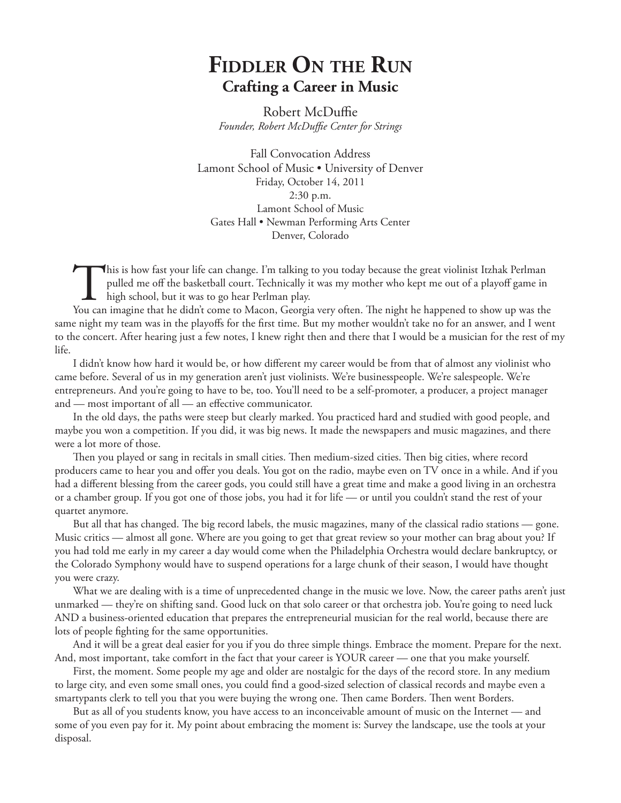## **Fiddler On the Run Crafting a Career in Music**

Robert McDuffie *Founder, Robert McDuffie Center for Strings*

Fall Convocation Address Lamont School of Music • University of Denver Friday, October 14, 2011 2:30 p.m. Lamont School of Music Gates Hall • Newman Performing Arts Center Denver, Colorado

This is how fast your life can change. I'm talking to you today because the great violinist Itzhak Perlman pulled me off the basketball court. Technically it was my mother who kept me out of a playoff game in high school, pulled me off the basketball court. Technically it was my mother who kept me out of a playoff game in high school, but it was to go hear Perlman play.

You can imagine that he didn't come to Macon, Georgia very often. The night he happened to show up was the same night my team was in the playoffs for the first time. But my mother wouldn't take no for an answer, and I went to the concert. After hearing just a few notes, I knew right then and there that I would be a musician for the rest of my life.

I didn't know how hard it would be, or how different my career would be from that of almost any violinist who came before. Several of us in my generation aren't just violinists. We're businesspeople. We're salespeople. We're entrepreneurs. And you're going to have to be, too. You'll need to be a self-promoter, a producer, a project manager and — most important of all — an effective communicator.

In the old days, the paths were steep but clearly marked. You practiced hard and studied with good people, and maybe you won a competition. If you did, it was big news. It made the newspapers and music magazines, and there were a lot more of those.

Then you played or sang in recitals in small cities. Then medium-sized cities. Then big cities, where record producers came to hear you and offer you deals. You got on the radio, maybe even on TV once in a while. And if you had a different blessing from the career gods, you could still have a great time and make a good living in an orchestra or a chamber group. If you got one of those jobs, you had it for life — or until you couldn't stand the rest of your quartet anymore.

But all that has changed. The big record labels, the music magazines, many of the classical radio stations — gone. Music critics — almost all gone. Where are you going to get that great review so your mother can brag about you? If you had told me early in my career a day would come when the Philadelphia Orchestra would declare bankruptcy, or the Colorado Symphony would have to suspend operations for a large chunk of their season, I would have thought you were crazy.

What we are dealing with is a time of unprecedented change in the music we love. Now, the career paths aren't just unmarked — they're on shifting sand. Good luck on that solo career or that orchestra job. You're going to need luck AND a business-oriented education that prepares the entrepreneurial musician for the real world, because there are lots of people fighting for the same opportunities.

And it will be a great deal easier for you if you do three simple things. Embrace the moment. Prepare for the next. And, most important, take comfort in the fact that your career is YOUR career — one that you make yourself.

First, the moment. Some people my age and older are nostalgic for the days of the record store. In any medium to large city, and even some small ones, you could find a good-sized selection of classical records and maybe even a smartypants clerk to tell you that you were buying the wrong one. Then came Borders. Then went Borders.

But as all of you students know, you have access to an inconceivable amount of music on the Internet — and some of you even pay for it. My point about embracing the moment is: Survey the landscape, use the tools at your disposal.